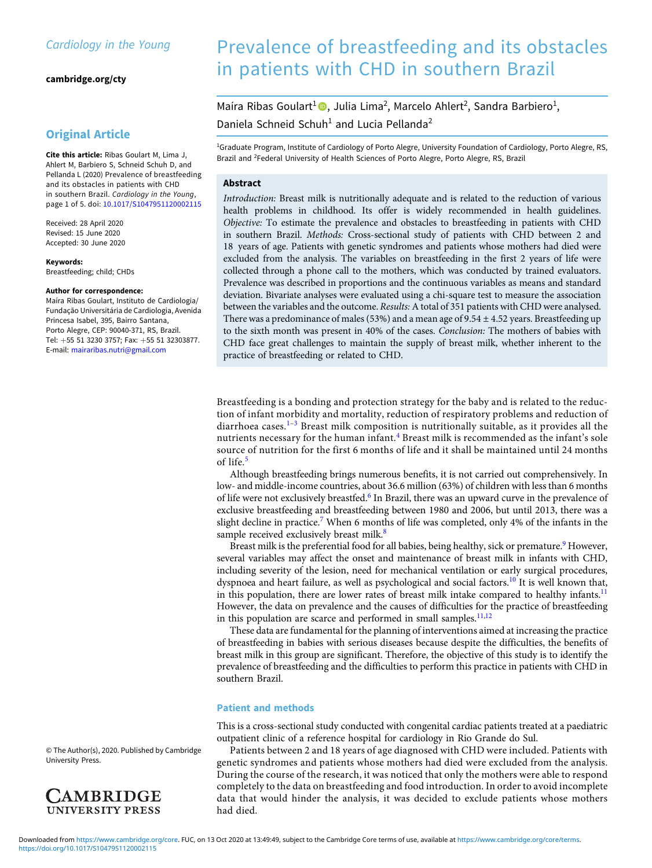[cambridge.org/cty](https://www.cambridge.org/cty)

# Original Article

Cite this article: Ribas Goulart M, Lima J, Ahlert M, Barbiero S, Schneid Schuh D, and Pellanda L (2020) Prevalence of breastfeeding and its obstacles in patients with CHD in southern Brazil. Cardiology in the Young, page 1 of 5. doi: [10.1017/S1047951120002115](https://doi.org/10.1017/S1047951120002115)

Received: 28 April 2020 Revised: 15 June 2020 Accepted: 30 June 2020

Keywords: Breastfeeding; child; CHDs

#### Author for correspondence:

Maíra Ribas Goulart, Instituto de Cardiologia/ Fundação Universitária de Cardiologia, Avenida Princesa Isabel, 395, Bairro Santana, Porto Alegre, CEP: 90040-371, RS, Brazil. Tel: +55 51 3230 3757; Fax: +55 51 32303877. E-mail: [mairaribas.nutri@gmail.com](mailto:mairaribas.nutri@gmail.com)

# Brazil and <sup>2</sup>Federal University of Health Sciences of Porto Alegre, Porto Alegre, RS, Brazil Abstract

Introduction: Breast milk is nutritionally adequate and is related to the reduction of various health problems in childhood. Its offer is widely recommended in health guidelines. Objective: To estimate the prevalence and obstacles to breastfeeding in patients with CHD in southern Brazil. Methods: Cross-sectional study of patients with CHD between 2 and 18 years of age. Patients with genetic syndromes and patients whose mothers had died were excluded from the analysis. The variables on breastfeeding in the first 2 years of life were collected through a phone call to the mothers, which was conducted by trained evaluators. Prevalence was described in proportions and the continuous variables as means and standard deviation. Bivariate analyses were evaluated using a chi-square test to measure the association between the variables and the outcome. Results: A total of 351 patients with CHD were analysed. There was a predominance of males (53%) and a mean age of 9.54  $\pm$  4.52 years. Breastfeeding up to the sixth month was present in 40% of the cases. Conclusion: The mothers of babies with CHD face great challenges to maintain the supply of breast milk, whether inherent to the practice of breastfeeding or related to CHD.

Prevalence of breastfeeding and its obstacles

<sup>1</sup>Graduate Program, Institute of Cardiology of Porto Alegre, University Foundation of Cardiology, Porto Alegre, RS,

in patients with CHD in southern Brazil

Maíra Ribas Goulart<sup>1</sup><sup>®</sup>, Julia Lima<sup>2</sup>, Marcelo Ahlert<sup>2</sup>, Sandra Barbiero<sup>1</sup>,

Daniela Schneid Schuh<sup>1</sup> and Lucia Pellanda<sup>2</sup>

Breastfeeding is a bonding and protection strategy for the baby and is related to the reduction of infant morbidity and mortality, reduction of respiratory problems and reduction of diarrhoea cases.<sup>[1](#page-3-0)-[3](#page-3-0)</sup> Breast milk composition is nutritionally suitable, as it provides all the nutrients necessary for the human infant. $4$  Breast milk is recommended as the infant's sole source of nutrition for the first 6 months of life and it shall be maintained until 24 months of life.<sup>[5](#page-3-0)</sup>

Although breastfeeding brings numerous benefits, it is not carried out comprehensively. In low- and middle-income countries, about 36.6 million (63%) of children with less than 6 months of life were not exclusively breastfed.<sup>[6](#page-3-0)</sup> In Brazil, there was an upward curve in the prevalence of exclusive breastfeeding and breastfeeding between 1980 and 2006, but until 2013, there was a slight decline in practice.<sup>[7](#page-3-0)</sup> When 6 months of life was completed, only 4% of the infants in the sample received exclusively breast milk.<sup>[8](#page-3-0)</sup>

Breast milk is the preferential food for all babies, being healthy, sick or premature.<sup>[9](#page-3-0)</sup> However, several variables may affect the onset and maintenance of breast milk in infants with CHD, including severity of the lesion, need for mechanical ventilation or early surgical procedures, dyspnoea and heart failure, as well as psychological and social factors.<sup>[10](#page-3-0)</sup> It is well known that, in this population, there are lower rates of breast milk intake compared to healthy infants.<sup>[11](#page-3-0)</sup> However, the data on prevalence and the causes of difficulties for the practice of breastfeeding in this population are scarce and performed in small samples.<sup>[11,12](#page-3-0)</sup>

These data are fundamental for the planning of interventions aimed at increasing the practice of breastfeeding in babies with serious diseases because despite the difficulties, the benefits of breast milk in this group are significant. Therefore, the objective of this study is to identify the prevalence of breastfeeding and the difficulties to perform this practice in patients with CHD in southern Brazil.

### Patient and methods

This is a cross-sectional study conducted with congenital cardiac patients treated at a paediatric outpatient clinic of a reference hospital for cardiology in Rio Grande do Sul.

Patients between 2 and 18 years of age diagnosed with CHD were included. Patients with genetic syndromes and patients whose mothers had died were excluded from the analysis. During the course of the research, it was noticed that only the mothers were able to respond completely to the data on breastfeeding and food introduction. In order to avoid incomplete data that would hinder the analysis, it was decided to exclude patients whose mothers had died.

© The Author(s), 2020. Published by Cambridge University Press.

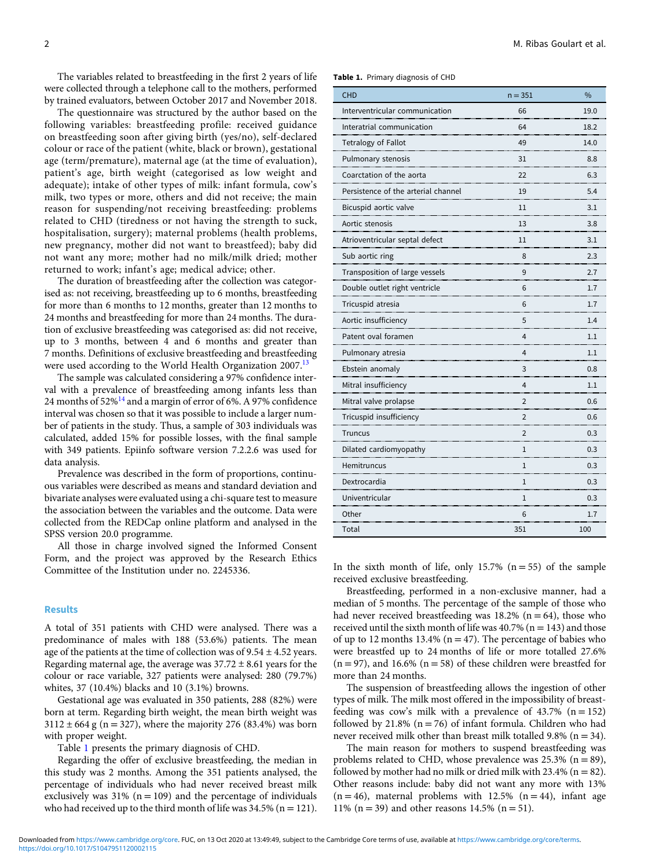The variables related to breastfeeding in the first 2 years of life were collected through a telephone call to the mothers, performed by trained evaluators, between October 2017 and November 2018.

The questionnaire was structured by the author based on the following variables: breastfeeding profile: received guidance on breastfeeding soon after giving birth (yes/no), self-declared colour or race of the patient (white, black or brown), gestational age (term/premature), maternal age (at the time of evaluation), patient's age, birth weight (categorised as low weight and adequate); intake of other types of milk: infant formula, cow's milk, two types or more, others and did not receive; the main reason for suspending/not receiving breastfeeding: problems related to CHD (tiredness or not having the strength to suck, hospitalisation, surgery); maternal problems (health problems, new pregnancy, mother did not want to breastfeed); baby did not want any more; mother had no milk/milk dried; mother returned to work; infant's age; medical advice; other.

The duration of breastfeeding after the collection was categorised as: not receiving, breastfeeding up to 6 months, breastfeeding for more than 6 months to 12 months, greater than 12 months to 24 months and breastfeeding for more than 24 months. The duration of exclusive breastfeeding was categorised as: did not receive, up to 3 months, between 4 and 6 months and greater than 7 months. Definitions of exclusive breastfeeding and breastfeeding were used according to the World Health Organization 2007.[13](#page-3-0)

The sample was calculated considering a 97% confidence interval with a prevalence of breastfeeding among infants less than 24 months of  $52\%$ <sup>[14](#page-3-0)</sup> and a margin of error of 6%. A 97% confidence interval was chosen so that it was possible to include a larger number of patients in the study. Thus, a sample of 303 individuals was calculated, added 15% for possible losses, with the final sample with 349 patients. Epiinfo software version 7.2.2.6 was used for data analysis.

Prevalence was described in the form of proportions, continuous variables were described as means and standard deviation and bivariate analyses were evaluated using a chi-square test to measure the association between the variables and the outcome. Data were collected from the REDCap online platform and analysed in the SPSS version 20.0 programme.

All those in charge involved signed the Informed Consent Form, and the project was approved by the Research Ethics Committee of the Institution under no. 2245336.

## Results

A total of 351 patients with CHD were analysed. There was a predominance of males with 188 (53.6%) patients. The mean age of the patients at the time of collection was of  $9.54 \pm 4.52$  years. Regarding maternal age, the average was  $37.72 \pm 8.61$  years for the colour or race variable, 327 patients were analysed: 280 (79.7%) whites, 37 (10.4%) blacks and 10 (3.1%) browns.

Gestational age was evaluated in 350 patients, 288 (82%) were born at term. Regarding birth weight, the mean birth weight was  $3112 \pm 664$  g (n = 327), where the majority 276 (83.4%) was born with proper weight.

Table 1 presents the primary diagnosis of CHD.

Regarding the offer of exclusive breastfeeding, the median in this study was 2 months. Among the 351 patients analysed, the percentage of individuals who had never received breast milk exclusively was  $31\%$  (n = 109) and the percentage of individuals who had received up to the third month of life was  $34.5\%$  (n = 121).

Table 1. Primary diagnosis of CHD

| <b>CHD</b>                          | $n = 351$      | $\frac{0}{0}$ |
|-------------------------------------|----------------|---------------|
| Interventricular communication      | 66             | 19.0          |
| Interatrial communication           | 64             | 18.2          |
| Tetralogy of Fallot                 | 49             | 14.0          |
| Pulmonary stenosis                  | 31             | 8.8           |
| Coarctation of the aorta            | 22             | 6.3           |
| Persistence of the arterial channel | 19             | 5.4           |
| Bicuspid aortic valve               | 11             | 3.1           |
| Aortic stenosis                     | 13             | 3.8           |
| Atrioventricular septal defect      | 11             | 3.1           |
| Sub aortic ring                     | 8              | 2.3           |
| Transposition of large vessels      | 9              | 2.7           |
| Double outlet right ventricle       | 6              | 1.7           |
| Tricuspid atresia                   | 6              | <br>1.7       |
| Aortic insufficiency                | 5              | 1.4           |
| Patent oval foramen                 | 4              | 1.1           |
| Pulmonary atresia                   | 4              | 1.1           |
| Ebstein anomaly                     | 3              | 0.8           |
| Mitral insufficiency                | 4              | 1.1           |
| Mitral valve prolapse               | $\overline{2}$ | 0.6           |
| Tricuspid insufficiency             | 2              | 0.6           |
| Truncus                             | $\overline{2}$ | 0.3           |
| Dilated cardiomyopathy              | 1              | 0.3           |
| Hemitruncus                         | $\mathbf{1}$   | 0.3           |
| Dextrocardia                        | 1              | 0.3           |
| Univentricular                      | 1              | 0.3           |
| Other                               | 6              | 1.7           |
| Total                               | 351            | 100           |

In the sixth month of life, only 15.7%  $(n = 55)$  of the sample received exclusive breastfeeding.

Breastfeeding, performed in a non-exclusive manner, had a median of 5 months. The percentage of the sample of those who had never received breastfeeding was  $18.2\%$  (n = 64), those who received until the sixth month of life was  $40.7\%$  (n = 143) and those of up to 12 months 13.4% ( $n = 47$ ). The percentage of babies who were breastfed up to 24 months of life or more totalled 27.6%  $(n = 97)$ , and 16.6%  $(n = 58)$  of these children were breastfed for more than 24 months.

The suspension of breastfeeding allows the ingestion of other types of milk. The milk most offered in the impossibility of breastfeeding was cow's milk with a prevalence of  $43.7\%$  (n = 152) followed by 21.8% ( $n = 76$ ) of infant formula. Children who had never received milk other than breast milk totalled 9.8% ( $n = 34$ ).

The main reason for mothers to suspend breastfeeding was problems related to CHD, whose prevalence was  $25.3\%$  (n = 89), followed by mother had no milk or dried milk with  $23.4\%$  (n = 82). Other reasons include: baby did not want any more with 13%  $(n = 46)$ , maternal problems with 12.5%  $(n = 44)$ , infant age 11% ( $n = 39$ ) and other reasons 14.5% ( $n = 51$ ).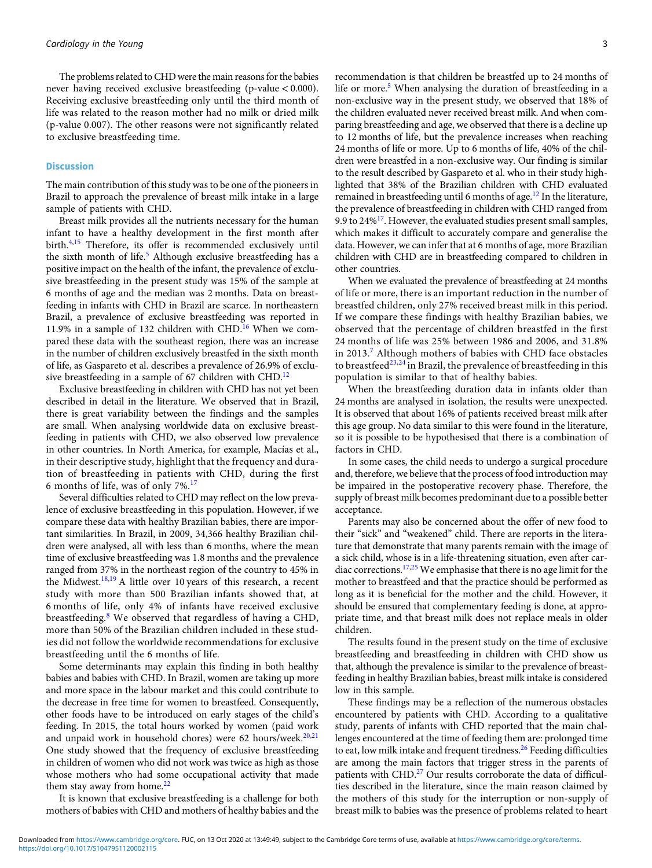The problems related to CHD were the main reasons for the babies never having received exclusive breastfeeding (p-value < 0.000). Receiving exclusive breastfeeding only until the third month of life was related to the reason mother had no milk or dried milk (p-value 0.007). The other reasons were not significantly related to exclusive breastfeeding time.

#### Discussion

The main contribution of this study was to be one of the pioneers in Brazil to approach the prevalence of breast milk intake in a large sample of patients with CHD.

Breast milk provides all the nutrients necessary for the human infant to have a healthy development in the first month after birth.[4,15](#page-3-0) Therefore, its offer is recommended exclusively until the sixth month of life.<sup>[5](#page-3-0)</sup> Although exclusive breastfeeding has a positive impact on the health of the infant, the prevalence of exclusive breastfeeding in the present study was 15% of the sample at 6 months of age and the median was 2 months. Data on breastfeeding in infants with CHD in Brazil are scarce. In northeastern Brazil, a prevalence of exclusive breastfeeding was reported in 11.9% in a sample of 132 children with CHD.<sup>[16](#page-3-0)</sup> When we compared these data with the southeast region, there was an increase in the number of children exclusively breastfed in the sixth month of life, as Gaspareto et al. describes a prevalence of 26.9% of exclusive breastfeeding in a sample of 67 children with CHD.<sup>12</sup>

Exclusive breastfeeding in children with CHD has not yet been described in detail in the literature. We observed that in Brazil, there is great variability between the findings and the samples are small. When analysing worldwide data on exclusive breastfeeding in patients with CHD, we also observed low prevalence in other countries. In North America, for example, Macías et al., in their descriptive study, highlight that the frequency and duration of breastfeeding in patients with CHD, during the first 6 months of life, was of only 7%.[17](#page-3-0)

Several difficulties related to CHD may reflect on the low prevalence of exclusive breastfeeding in this population. However, if we compare these data with healthy Brazilian babies, there are important similarities. In Brazil, in 2009, 34,366 healthy Brazilian children were analysed, all with less than 6 months, where the mean time of exclusive breastfeeding was 1.8 months and the prevalence ranged from 37% in the northeast region of the country to 45% in the Midwest.[18,19](#page-3-0) A little over 10 years of this research, a recent study with more than 500 Brazilian infants showed that, at 6 months of life, only 4% of infants have received exclusive breastfeeding.[8](#page-3-0) We observed that regardless of having a CHD, more than 50% of the Brazilian children included in these studies did not follow the worldwide recommendations for exclusive breastfeeding until the 6 months of life.

Some determinants may explain this finding in both healthy babies and babies with CHD. In Brazil, women are taking up more and more space in the labour market and this could contribute to the decrease in free time for women to breastfeed. Consequently, other foods have to be introduced on early stages of the child's feeding. In 2015, the total hours worked by women (paid work and unpaid work in household chores) were 62 hours/week. $20,21$  $20,21$  $20,21$ One study showed that the frequency of exclusive breastfeeding in children of women who did not work was twice as high as those whose mothers who had some occupational activity that made them stay away from home. $22$ 

It is known that exclusive breastfeeding is a challenge for both mothers of babies with CHD and mothers of healthy babies and the recommendation is that children be breastfed up to 24 months of life or more.<sup>[5](#page-3-0)</sup> When analysing the duration of breastfeeding in a non-exclusive way in the present study, we observed that 18% of the children evaluated never received breast milk. And when comparing breastfeeding and age, we observed that there is a decline up to 12 months of life, but the prevalence increases when reaching 24 months of life or more. Up to 6 months of life, 40% of the children were breastfed in a non-exclusive way. Our finding is similar to the result described by Gaspareto et al. who in their study highlighted that 38% of the Brazilian children with CHD evaluated remained in breastfeeding until 6 months of age.<sup>12</sup> In the literature, the prevalence of breastfeeding in children with CHD ranged from 9.9 to  $24\frac{17}{1}$ . However, the evaluated studies present small samples, which makes it difficult to accurately compare and generalise the data. However, we can infer that at 6 months of age, more Brazilian children with CHD are in breastfeeding compared to children in other countries.

When we evaluated the prevalence of breastfeeding at 24 months of life or more, there is an important reduction in the number of breastfed children, only 27% received breast milk in this period. If we compare these findings with healthy Brazilian babies, we observed that the percentage of children breastfed in the first 24 months of life was 25% between 1986 and 2006, and 31.8% in 2013.<sup>[7](#page-3-0)</sup> Although mothers of babies with CHD face obstacles to breastfeed<sup>[23,24](#page-3-0)</sup> in Brazil, the prevalence of breastfeeding in this population is similar to that of healthy babies.

When the breastfeeding duration data in infants older than 24 months are analysed in isolation, the results were unexpected. It is observed that about 16% of patients received breast milk after this age group. No data similar to this were found in the literature, so it is possible to be hypothesised that there is a combination of factors in CHD.

In some cases, the child needs to undergo a surgical procedure and, therefore, we believe that the process of food introduction may be impaired in the postoperative recovery phase. Therefore, the supply of breast milk becomes predominant due to a possible better acceptance.

Parents may also be concerned about the offer of new food to their "sick" and "weakened" child. There are reports in the literature that demonstrate that many parents remain with the image of a sick child, whose is in a life-threatening situation, even after car-diac corrections.<sup>[17](#page-3-0)[,25](#page-4-0)</sup> We emphasise that there is no age limit for the mother to breastfeed and that the practice should be performed as long as it is beneficial for the mother and the child. However, it should be ensured that complementary feeding is done, at appropriate time, and that breast milk does not replace meals in older children.

The results found in the present study on the time of exclusive breastfeeding and breastfeeding in children with CHD show us that, although the prevalence is similar to the prevalence of breastfeeding in healthy Brazilian babies, breast milk intake is considered low in this sample.

These findings may be a reflection of the numerous obstacles encountered by patients with CHD. According to a qualitative study, parents of infants with CHD reported that the main challenges encountered at the time of feeding them are: prolonged time to eat, low milk intake and frequent tiredness.<sup>[26](#page-4-0)</sup> Feeding difficulties are among the main factors that trigger stress in the parents of patients with CHD.<sup>27</sup> Our results corroborate the data of difficulties described in the literature, since the main reason claimed by the mothers of this study for the interruption or non-supply of breast milk to babies was the presence of problems related to heart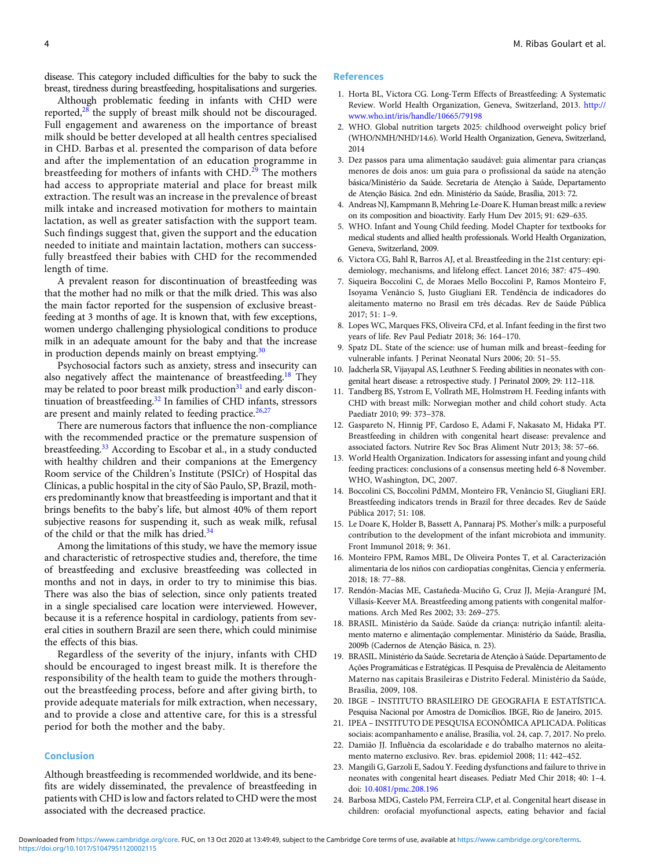<span id="page-3-0"></span>disease. This category included difficulties for the baby to suck the breast, tiredness during breastfeeding, hospitalisations and surgeries.

Although problematic feeding in infants with CHD were reported, $28$  the supply of breast milk should not be discouraged. Full engagement and awareness on the importance of breast milk should be better developed at all health centres specialised in CHD. Barbas et al. presented the comparison of data before and after the implementation of an education programme in breastfeeding for mothers of infants with CHD.<sup>[29](#page-4-0)</sup> The mothers had access to appropriate material and place for breast milk extraction. The result was an increase in the prevalence of breast milk intake and increased motivation for mothers to maintain lactation, as well as greater satisfaction with the support team. Such findings suggest that, given the support and the education needed to initiate and maintain lactation, mothers can successfully breastfeed their babies with CHD for the recommended length of time.

A prevalent reason for discontinuation of breastfeeding was that the mother had no milk or that the milk dried. This was also the main factor reported for the suspension of exclusive breastfeeding at 3 months of age. It is known that, with few exceptions, women undergo challenging physiological conditions to produce milk in an adequate amount for the baby and that the increase in production depends mainly on breast emptying. $30$ 

Psychosocial factors such as anxiety, stress and insecurity can also negatively affect the maintenance of breastfeeding.<sup>18</sup> They may be related to poor breast milk production $31$  and early discontinuation of breastfeeding. $32$  In families of CHD infants, stressors are present and mainly related to feeding practice.<sup>[26,27](#page-4-0)</sup>

There are numerous factors that influence the non-compliance with the recommended practice or the premature suspension of breastfeeding.[33](#page-4-0) According to Escobar et al., in a study conducted with healthy children and their companions at the Emergency Room service of the Children's Institute (PSICr) of Hospital das Clínicas, a public hospital in the city of São Paulo, SP, Brazil, mothers predominantly know that breastfeeding is important and that it brings benefits to the baby's life, but almost 40% of them report subjective reasons for suspending it, such as weak milk, refusal of the child or that the milk has dried.<sup>[34](#page-4-0)</sup>

Among the limitations of this study, we have the memory issue and characteristic of retrospective studies and, therefore, the time of breastfeeding and exclusive breastfeeding was collected in months and not in days, in order to try to minimise this bias. There was also the bias of selection, since only patients treated in a single specialised care location were interviewed. However, because it is a reference hospital in cardiology, patients from several cities in southern Brazil are seen there, which could minimise the effects of this bias.

Regardless of the severity of the injury, infants with CHD should be encouraged to ingest breast milk. It is therefore the responsibility of the health team to guide the mothers throughout the breastfeeding process, before and after giving birth, to provide adequate materials for milk extraction, when necessary, and to provide a close and attentive care, for this is a stressful period for both the mother and the baby.

# Conclusion

Although breastfeeding is recommended worldwide, and its benefits are widely disseminated, the prevalence of breastfeeding in patients with CHD is low and factors related to CHD were the most associated with the decreased practice.

#### References

- 1. Horta BL, Victora CG. Long-Term Effects of Breastfeeding: A Systematic Review. World Health Organization, Geneva, Switzerland, 2013. [http://](http://www.who.int/iris/handle/10665/) [www.who.int/iris/handle/10665/](http://www.who.int/iris/handle/10665/)[79198](https://79198)
- 2. WHO. Global nutrition targets 2025: childhood overweight policy brief (WHO/NMH/NHD/14.6). World Health Organization, Geneva, Switzerland, 2014
- 3. Dez passos para uma alimentação saudável: guia alimentar para crianças menores de dois anos: um guia para o profissional da saúde na atenção básica/Ministério da Saúde. Secretaria de Atenção à Saúde, Departamento de Atenção Básica. 2nd edn. Ministério da Saúde, Brasília, 2013: 72.
- 4. Andreas NJ, Kampmann B, Mehring Le-Doare K. Human breast milk: a review on its composition and bioactivity. Early Hum Dev 2015; 91: 629–635.
- 5. WHO. Infant and Young Child feeding. Model Chapter for textbooks for medical students and allied health professionals. World Health Organization, Geneva, Switzerland, 2009.
- 6. Victora CG, Bahl R, Barros AJ, et al. Breastfeeding in the 21st century: epidemiology, mechanisms, and lifelong effect. Lancet 2016; 387: 475–490.
- 7. Siqueira Boccolini C, de Moraes Mello Boccolini P, Ramos Monteiro F, Isoyama Venâncio S, Justo Giugliani ER. Tendência de indicadores do aleitamento materno no Brasil em três décadas. Rev de Saúde Pública 2017; 51: 1–9.
- 8. Lopes WC, Marques FKS, Oliveira CFd, et al. Infant feeding in the first two years of life. Rev Paul Pediatr 2018; 36: 164–170.
- 9. Spatz DL. State of the science: use of human milk and breast–feeding for vulnerable infants. J Perinat Neonatal Nurs 2006; 20: 51–55.
- 10. Jadcherla SR, Vijayapal AS, Leuthner S. Feeding abilities in neonates with congenital heart disease: a retrospective study. J Perinatol 2009; 29: 112–118.
- 11. Tandberg BS, Ystrom E, Vollrath ME, Holmstrøm H. Feeding infants with CHD with breast milk: Norwegian mother and child cohort study. Acta Paediatr 2010; 99: 373–378.
- 12. Gaspareto N, Hinnig PF, Cardoso E, Adami F, Nakasato M, Hidaka PT. Breastfeeding in children with congenital heart disease: prevalence and associated factors. Nutrire Rev Soc Bras Aliment Nutr 2013; 38: 57–66.
- 13. World Health Organization. Indicators for assessing infant and young child feeding practices: conclusions of a consensus meeting held 6-8 November. WHO, Washington, DC, 2007.
- 14. Boccolini CS, Boccolini PdMM, Monteiro FR, Venâncio SI, Giugliani ERJ. Breastfeeding indicators trends in Brazil for three decades. Rev de Saúde Pública 2017; 51: 108.
- 15. Le Doare K, Holder B, Bassett A, Pannaraj PS. Mother's milk: a purposeful contribution to the development of the infant microbiota and immunity. Front Immunol 2018; 9: 361.
- 16. Monteiro FPM, Ramos MBL, De Oliveira Pontes T, et al. Caracterización alimentaria de los niños con cardiopatías congênitas, Ciencia y enfermería. 2018; 18: 77–88.
- 17. Rendón-Macías ME, Castañeda-Muciño G, Cruz JJ, Mejía-Aranguré JM, Villasís-Keever MA. Breastfeeding among patients with congenital malformations. Arch Med Res 2002; 33: 269–275.
- 18. BRASIL. Ministério da Saúde. Saúde da criança: nutrição infantil: aleitamento materno e alimentação complementar. Ministério da Saúde, Brasília, 2009b (Cadernos de Atenção Básica, n. 23).
- 19. BRASIL. Ministério da Saúde. Secretaria de Atenção à Saúde. Departamento de Ações Programáticas e Estratégicas. II Pesquisa de Prevalência de Aleitamento Materno nas capitais Brasileiras e Distrito Federal. Ministério da Saúde, Brasília, 2009, 108.
- 20. IBGE INSTITUTO BRASILEIRO DE GEOGRAFIA E ESTATÍSTICA. Pesquisa Nacional por Amostra de Domicílios. IBGE, Rio de Janeiro, 2015.
- 21. IPEA INSTITUTO DE PESQUISA ECONÔMICA APLICADA. Políticas sociais: acompanhamento e análise, Brasília, vol. 24, cap. 7, 2017. No prelo.
- 22. Damião JJ. Influência da escolaridade e do trabalho maternos no aleitamento materno exclusivo. Rev. bras. epidemiol 2008; 11: 442–452.
- 23. Mangili G, Garzoli E, Sadou Y. Feeding dysfunctions and failure to thrive in neonates with congenital heart diseases. Pediatr Med Chir 2018; 40: 1–4. doi: [10.4081/pmc.208.196](https://doi.org/10.4081/pmc.208.196)
- 24. Barbosa MDG, Castelo PM, Ferreira CLP, et al. Congenital heart disease in children: orofacial myofunctional aspects, eating behavior and facial